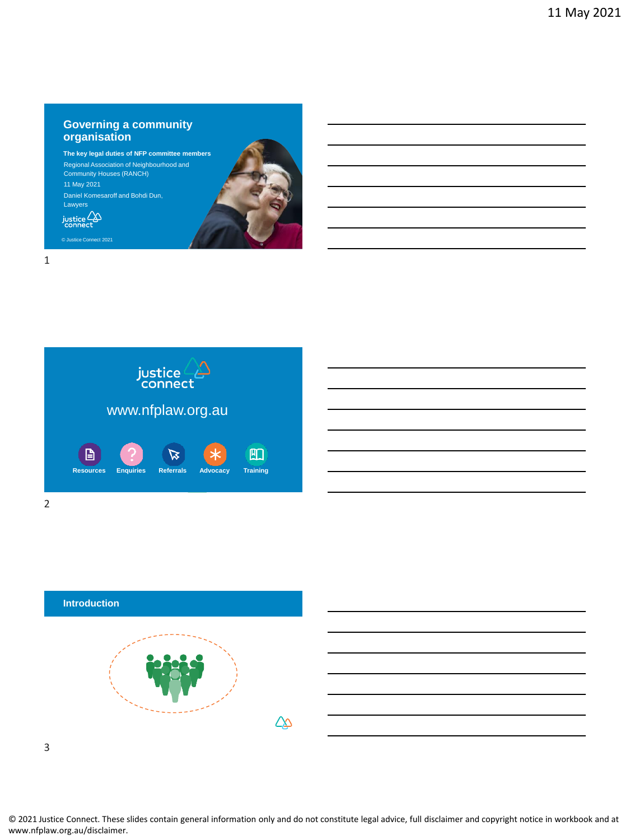#### **Governing a community organisation**

**The key legal duties of NFP committee members** Regional Association of Neighbourhood and Community Houses (RANCH) 11 May 2021 Daniel Komesaroff and Bohdi Dun, Lawyers  $\sum_{\text{connect}}$ 



1







3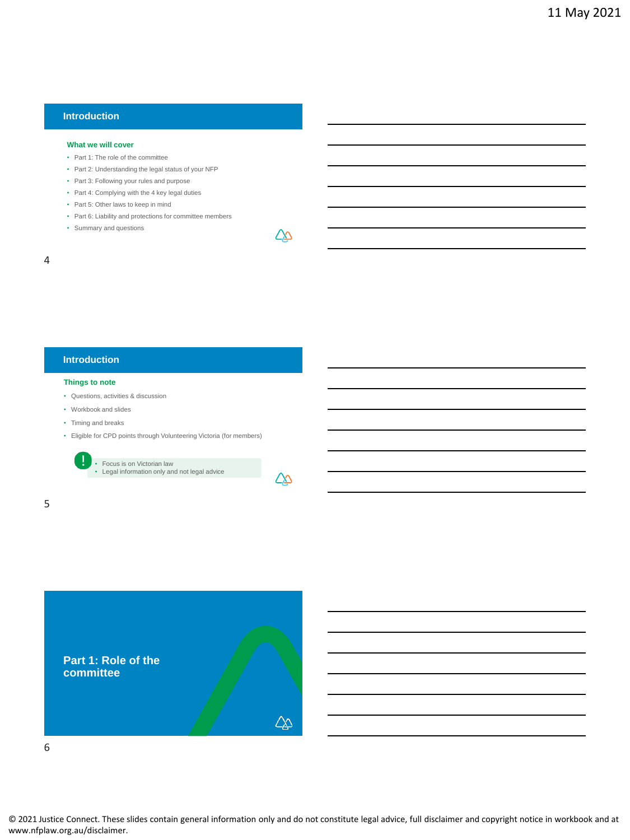### **Introduction**

#### **What we will cover**

- Part 1: The role of the committee
- Part 2: Understanding the legal status of your NFP
- Part 3: Following your rules and purpose
- Part 4: Complying with the 4 key legal duties
- Part 5: Other laws to keep in mind
- Part 6: Liability and protections for committee members
- Summary and questions

## 4

## **Introduction**

#### **Things to note**

- Questions, activities & discussion
- Workbook and slides
- Timing and breaks

Ţ

• Eligible for CPD points through Volunteering Victoria (for members)

• Focus is on Victorian law • Legal information only and not legal advice



∠∆

5

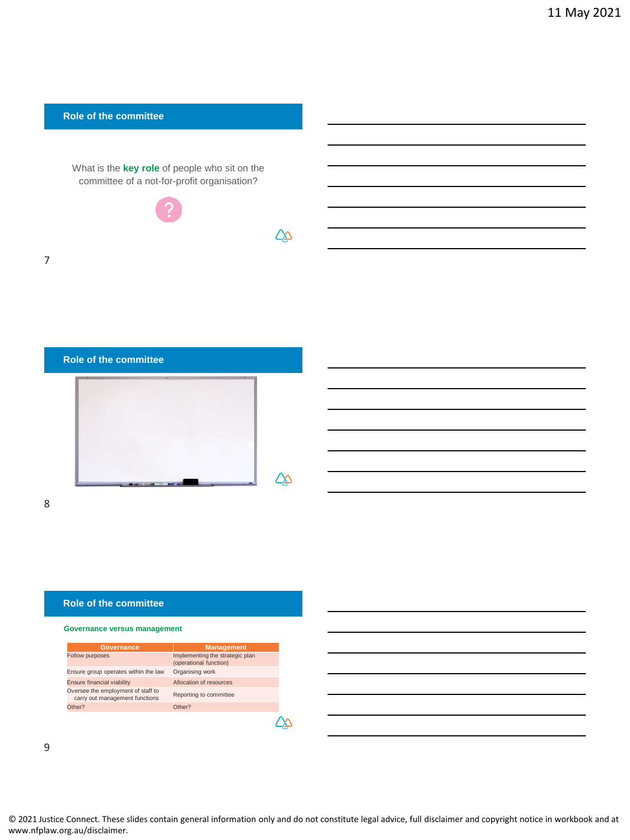

 $\Delta\!\!\!\!\Delta$ 

∠∆

#### **Role of the committee**

#### **Governance versus management**

| Governance                                                           | <b>Management</b>                                         |
|----------------------------------------------------------------------|-----------------------------------------------------------|
| <b>Follow purposes</b>                                               | Implementing the strategic plan<br>(operational function) |
| Ensure group operates within the law                                 | Organising work                                           |
| <b>Ensure financial viability</b>                                    | Allocation of resources                                   |
| Oversee the employment of staff to<br>carry out management functions | Reporting to committee                                    |
| Other?                                                               | Other?                                                    |
|                                                                      |                                                           |

9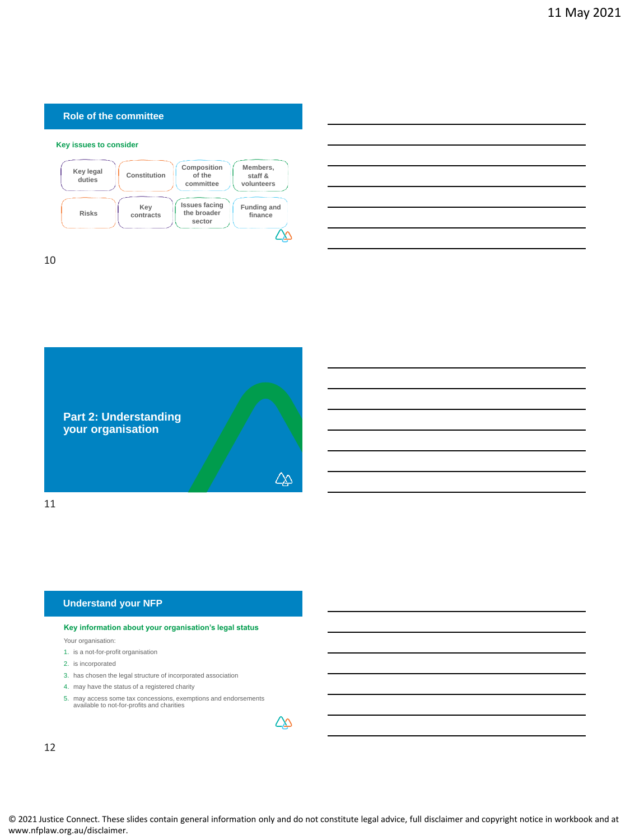#### **Role of the committee**

#### **Key issues to consider**



10



#### **Understand your NFP**

#### **Key information about your organisation's legal status**

Your organisation:

- 1. is a not-for-profit organisation
- 2. is incorporated
- 3. has chosen the legal structure of incorporated association
- 4. may have the status of a registered charity
- 5. may access some tax concessions, exemptions and endorsements available to not-for-profits and charities

∠∆

12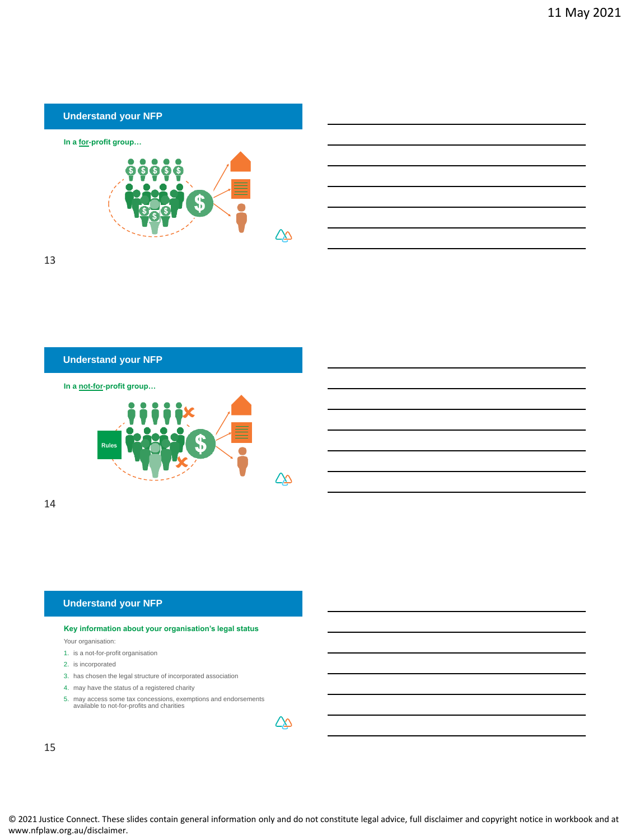

13

### **Understand your NFP**





14

#### **Understand your NFP**

#### **Key information about your organisation's legal status**

Your organisation:

- 1. is a not-for-profit organisation
- 2. is incorporated
- 3. has chosen the legal structure of incorporated association
- 4. may have the status of a registered charity
- 5. may access some tax concessions, exemptions and endorsements available to not-for-profits and charities

| . . |
|-----|

15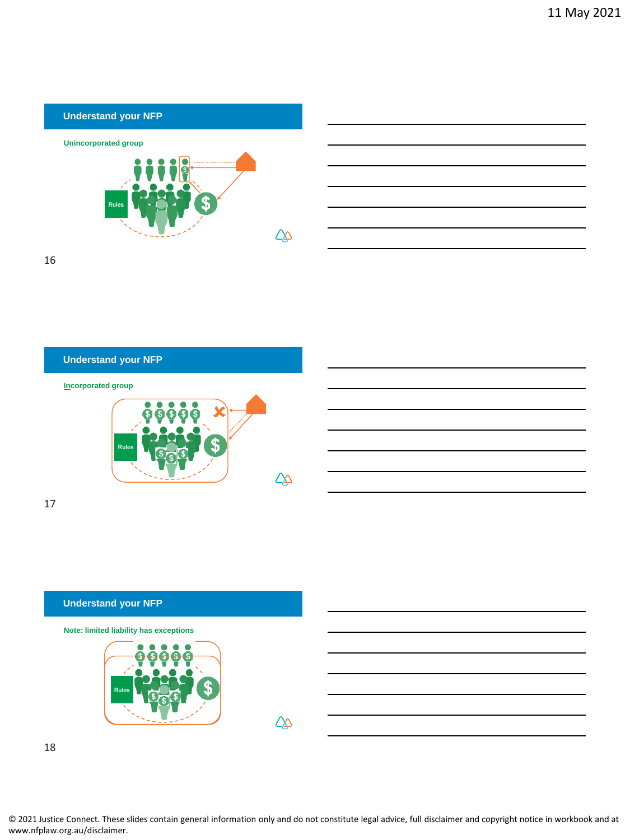



16

## **Incorporated group Understand your NFP**



17

## **Understand your NFP Note: limited liability has exceptions** Rules ∠∆

18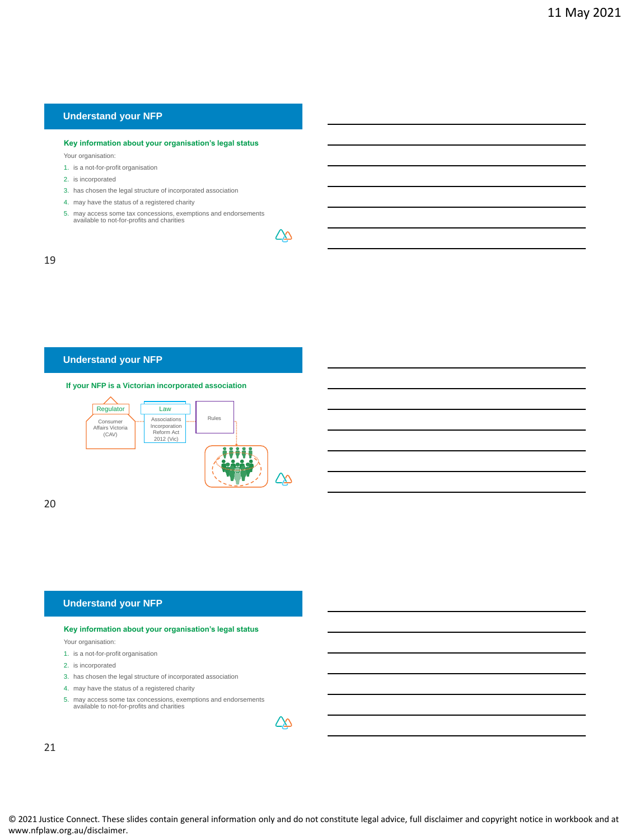#### **Key information about your organisation's legal status**

Your organisation:

- 1. is a not-for-profit organisation
- 2. is incorporated
- 3. has chosen the legal structure of incorporated association
- 4. may have the status of a registered charity
- 5. may access some tax concessions, exemptions and endorsements available to not-for-profits and charities

∠∆

#### 19

#### **Understand your NFP**

#### **If your NFP is a Victorian incorporated association**



20

#### **Understand your NFP**

#### **Key information about your organisation's legal status**

Your organisation:

- 1. is a not-for-profit organisation
- 2. is incorporated
- 3. has chosen the legal structure of incorporated association
- 4. may have the status of a registered charity
- 5. may access some tax concessions, exemptions and endorsements available to not-for-profits and charities

| . . |
|-----|
|     |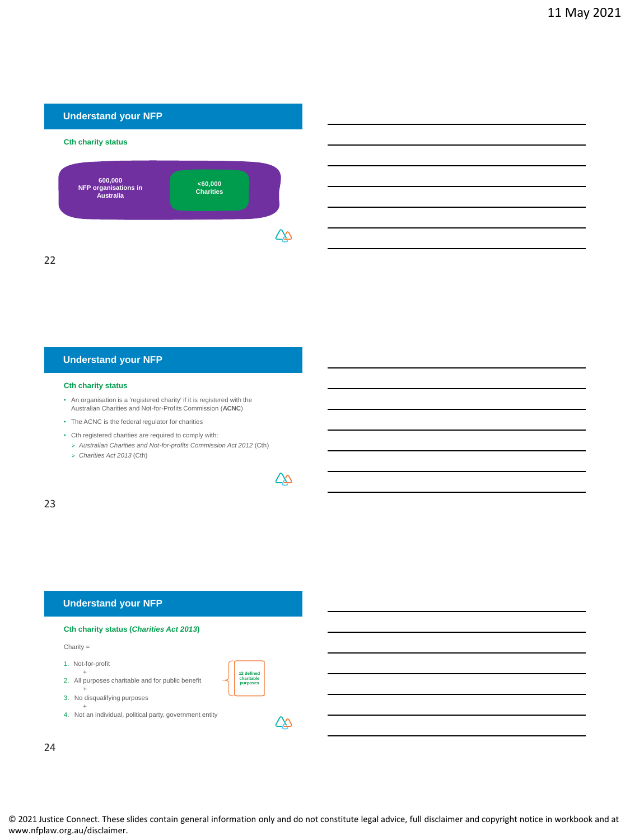

## **Understand your NFP**

#### **Cth charity status**

- An organisation is a 'registered charity' if it is registered with the Australian Charities and Not-for-Profits Commission (**ACNC**)
- The ACNC is the federal regulator for charities
- Cth registered charities are required to comply with:
	- ➢ *Australian Charities and Not-for-profits Commission Act 2012* (Cth)
	- ➢ *Charities Act 2013* (Cth)

△

**12 defined charitable purposes**

∠∆

23

#### **Understand your NFP**

## **Cth charity status (***Charities Act 2013***)**

Charity =

- 1. Not-for-profit
- + 2. All purposes charitable and for public benefit
- + 3. No disqualifying purposes
- 
- + 4. Not an individual, political party, government entity

24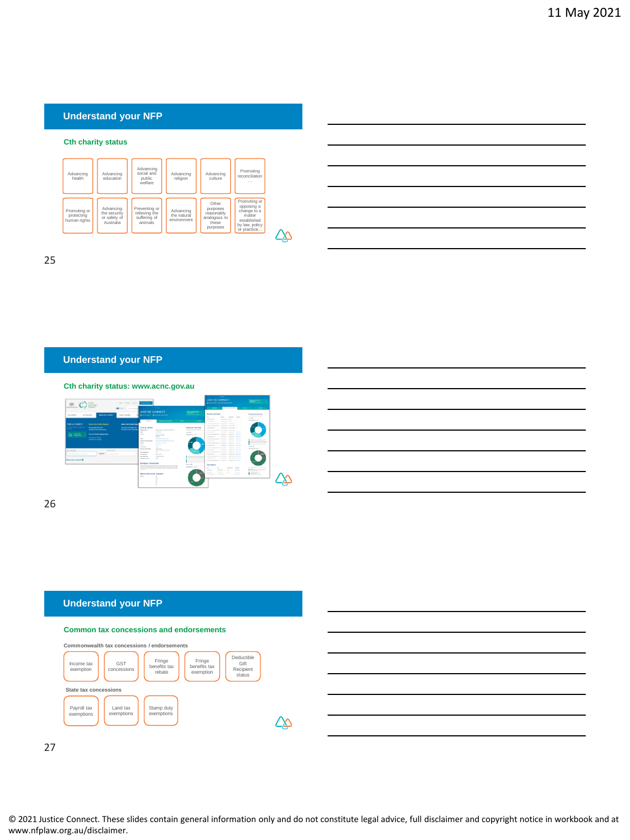#### **Cth charity status**



25

## **Understand your NFP**



26

#### **Understand your NFP**







27

© 2021 Justice Connect. These slides contain general information only and do not constitute legal advice, full disclaimer and copyright notice in workbook and at www.nfplaw.org.au/disclaimer.

᠘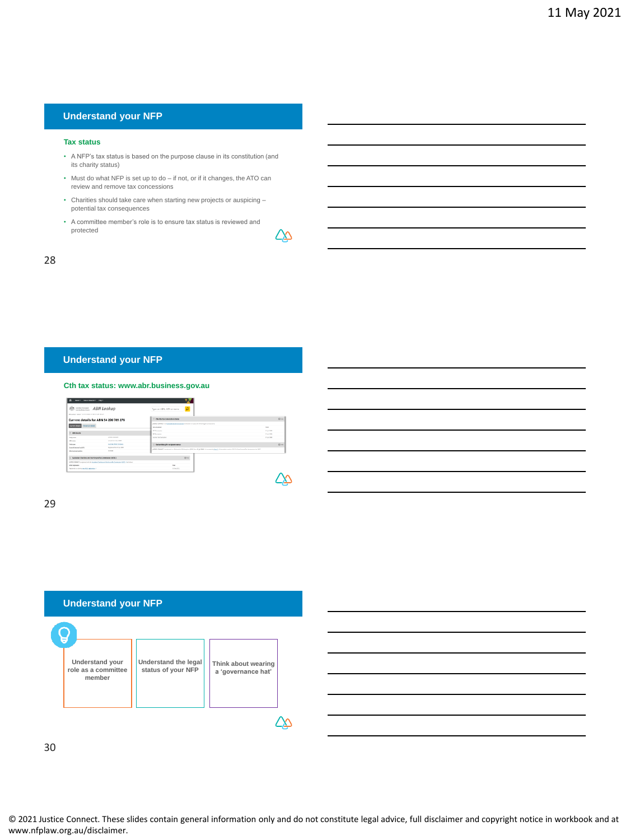#### **Tax status**

- A NFP's tax status is based on the purpose clause in its constitution (and its charity status)
- Must do what NFP is set up to do if not, or if it changes, the ATO can review and remove tax concessions
- Charities should take care when starting new projects or auspicing potential tax consequences
- A committee member's role is to ensure tax status is reviewed and protected

∠∆

#### 28

#### **Understand your NFP**

#### **Cth tax status: www.abr.business.gov.au**

| Service, Senderstown, 1964.<br>$\bullet$                       |                                                                                              |                                                                                                                                                                                           |                   |
|----------------------------------------------------------------|----------------------------------------------------------------------------------------------|-------------------------------------------------------------------------------------------------------------------------------------------------------------------------------------------|-------------------|
| ABN Lookup                                                     |                                                                                              | $\mathcal{D}$<br>Tupe on ABN, ACN or name                                                                                                                                                 |                   |
| ABILIARIA "Dania "Consortinaria fu ABICACOR PER EN             |                                                                                              |                                                                                                                                                                                           |                   |
|                                                                | Current details for ABN 54 206 789 276                                                       | C Charts tax concession status                                                                                                                                                            | $Q \rightarrow a$ |
| Carrent details                                                |                                                                                              | ARRESTS MARCH 4 KNOLEN AND ARRESTS AND ARRESTS AND THE POWER CONTRACT.                                                                                                                    |                   |
| Horizi drah                                                    |                                                                                              | <b>To consume</b>                                                                                                                                                                         | <b>Turn</b>       |
|                                                                |                                                                                              | <b>GT Learning</b>                                                                                                                                                                        | C to 201          |
| <b>IT AREASAN</b>                                              |                                                                                              | <b>RT Exercise</b>                                                                                                                                                                        | T-14 201          |
| <b>Delivery</b>                                                | anno coner                                                                                   | <b>Income Tea Fastration</b>                                                                                                                                                              | <b>Programme</b>  |
| <b>HRANK</b>                                                   | Attaches Mar 2000                                                                            |                                                                                                                                                                                           |                   |
| Exterior                                                       | <b>Autoral Anti-School</b>                                                                   | <b>C Demandels gift recipient states</b>                                                                                                                                                  | $Q \rightarrow a$ |
| <b>Read &amp; Scotia Taching</b>                               | Representative and                                                                           | AREN'S GRAND A material and detailed the basic of ERIC have \$1.500 (ii) a country in them I of the water in an exist of ERIC above this interaction (III) (ii) allows the country of the |                   |
| Mandasters brates                                              | $= 108$                                                                                      |                                                                                                                                                                                           |                   |
| [] Authorities Charities and Not-for-profits Commission (NOTC) |                                                                                              | $0 -$                                                                                                                                                                                     |                   |
|                                                                | professional to consecutively by business Capital and below the fundamental APAS, the School |                                                                                                                                                                                           |                   |
| al hi reposito                                                 |                                                                                              |                                                                                                                                                                                           |                   |
| Ingenieri e a dorta gan KDC aggestos il                        |                                                                                              | <b>Hiller Street</b>                                                                                                                                                                      |                   |
|                                                                |                                                                                              |                                                                                                                                                                                           |                   |
|                                                                |                                                                                              |                                                                                                                                                                                           |                   |
|                                                                |                                                                                              |                                                                                                                                                                                           |                   |
|                                                                |                                                                                              |                                                                                                                                                                                           |                   |

#### 29





30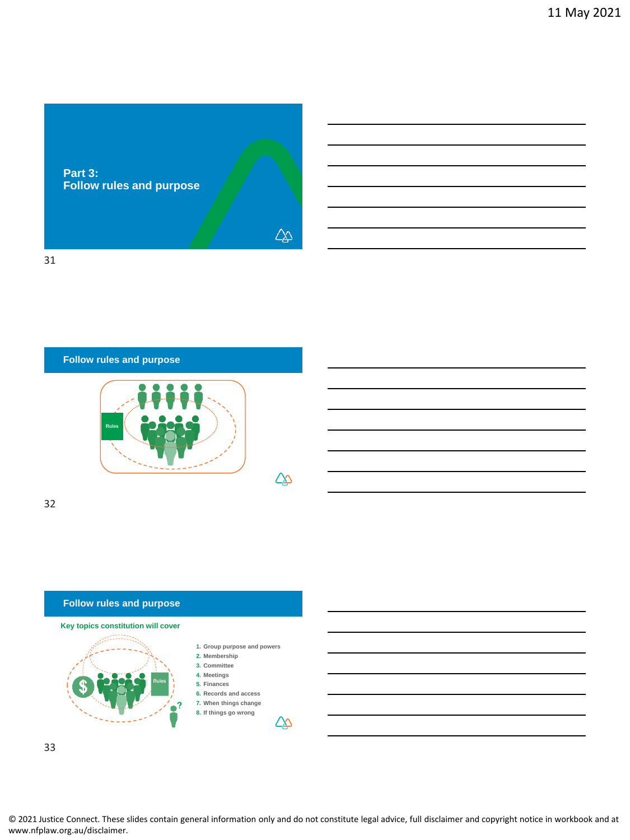

31

**Follow rules and purpose**



32



33

© 2021 Justice Connect. These slides contain general information only and do not constitute legal advice, full disclaimer and copyright notice in workbook and at www.nfplaw.org.au/disclaimer.

 $\Delta\!\!\!\!\Delta$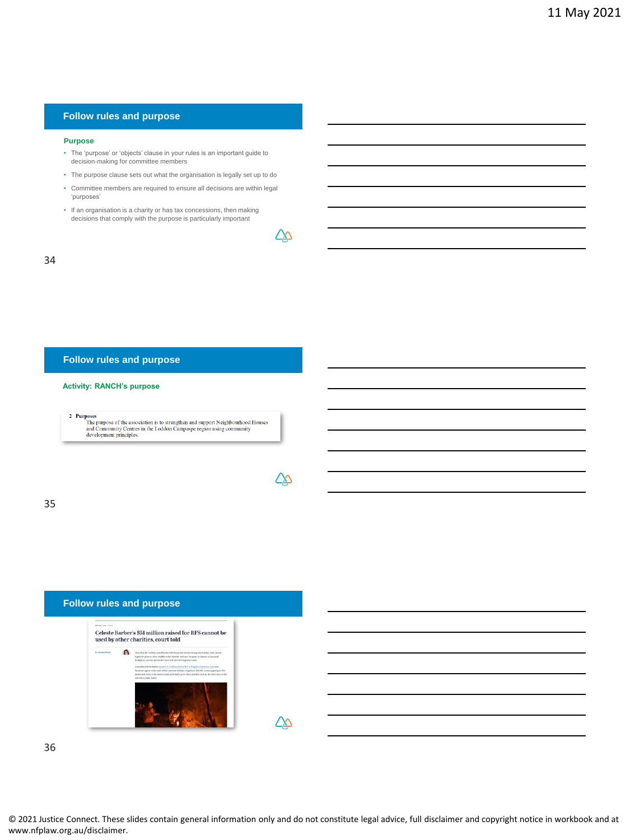#### **Follow rules and purpose**

#### **Purpose**

- The 'purpose' or 'objects' clause in your rules is an important guide to decision-making for committee members
- The purpose clause sets out what the organisation is legally set up to do
- Committee members are required to ensure all decisions are within legal 'purposes'
- If an organisation is a charity or has tax concessions, then making decisions that comply with the purpose is particularly important

∠∆

△

#### 34

#### **Follow rules and purpose**

#### **Activity: RANCH's purpose**

2 Purposes  $$\sf The\,$  upposes of the association is to strengthen and support Neighbourhood Houses and Community Centres in the Loddon Campaspe region using community development principles.

35

| <b>Follow rules and purpose</b>            |                                                                                                                                                                                                                                                                                                                                                                                                                                                                                                                                                                                                                   |  |
|--------------------------------------------|-------------------------------------------------------------------------------------------------------------------------------------------------------------------------------------------------------------------------------------------------------------------------------------------------------------------------------------------------------------------------------------------------------------------------------------------------------------------------------------------------------------------------------------------------------------------------------------------------------------------|--|
| <b>Advised mile counts.</b>                | Celeste Barber's \$51 million raised for RFS cannot be<br>used by other charities, court told                                                                                                                                                                                                                                                                                                                                                                                                                                                                                                                     |  |
| In Genryke Hitcheld<br>the contract of the | More than \$51 million mixed for the NSW Rundillos Service during the buildire crisis count<br>legally be given to other buddher milet charities and can't be spent on brigged or decreased.<br>firefighters, lowyers for the 870 have tald the NSW Supernational.<br>Copyriges Cylende Eastern sales (\$11.2 million the the 325 to Entrades Domations Funditure)<br>Facebook appeal at the start of this year that initially result that \$30,000, as the appeal grev, Mr<br>Burley said some of the money could potentially go to other charties, such as the field tress, or the<br>services in other states. |  |
|                                            |                                                                                                                                                                                                                                                                                                                                                                                                                                                                                                                                                                                                                   |  |

36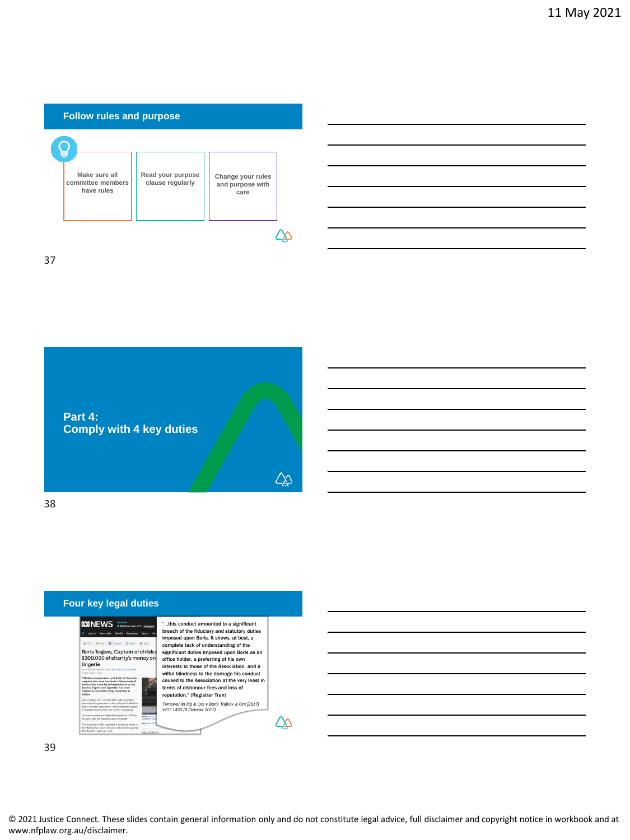



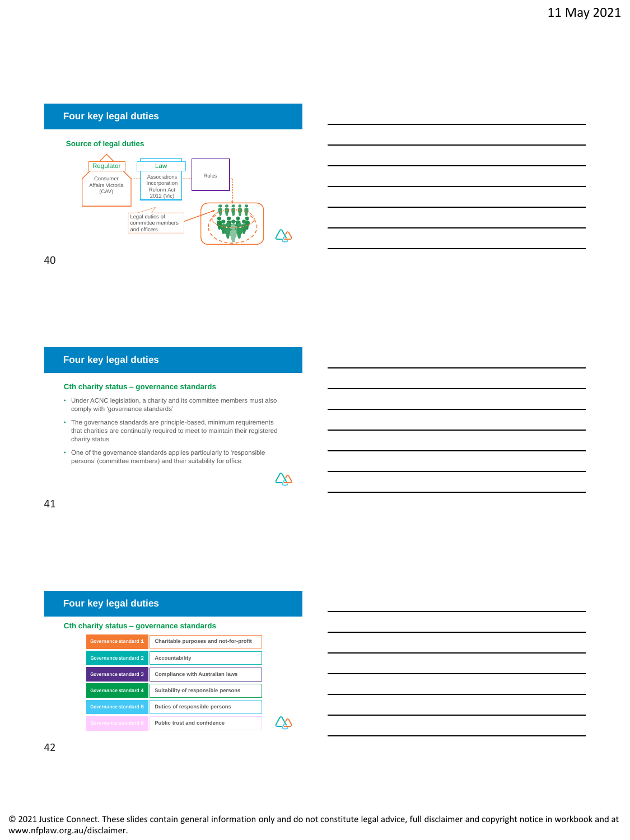#### **Source of legal duties**





#### **Four key legal duties**

#### **Cth charity status – governance standards**

- Under ACNC legislation, a charity and its committee members must also comply with 'governance standards'
- The governance standards are principle-based, minimum requirements that charities are continually required to meet to maintain their registered charity status
- One of the governance standards applies particularly to 'responsible persons' (committee members) and their suitability for office



∠∆

41

## **Four key legal duties**

|  | Cth charity status - governance standards |  |
|--|-------------------------------------------|--|
|  |                                           |  |

| Governance standard 1 | Charitable purposes and not-for-profit |
|-----------------------|----------------------------------------|
| Governance standard 2 | Accountability                         |
| Governance standard 3 | <b>Compliance with Australian laws</b> |
| Governance standard 4 | Suitability of responsible persons     |
| Governance standard 5 | Duties of responsible persons          |
| Governance standard 6 | Public trust and confidence            |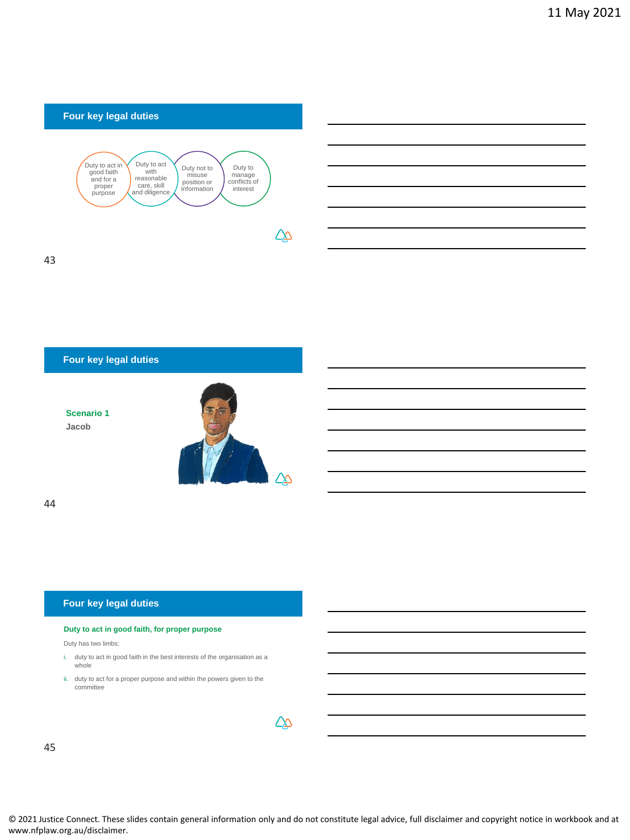

## **Four key legal duties**

**Scenario 1 Jacob**



44

#### **Four key legal duties**

#### **Duty to act in good faith, for proper purpose**

Duty has two limbs:

- i. duty to act in good faith in the best interests of the organisation as a whole
- ii. duty to act for a proper purpose and within the powers given to the committee

|   | . . |  |
|---|-----|--|
| w | ٠   |  |

45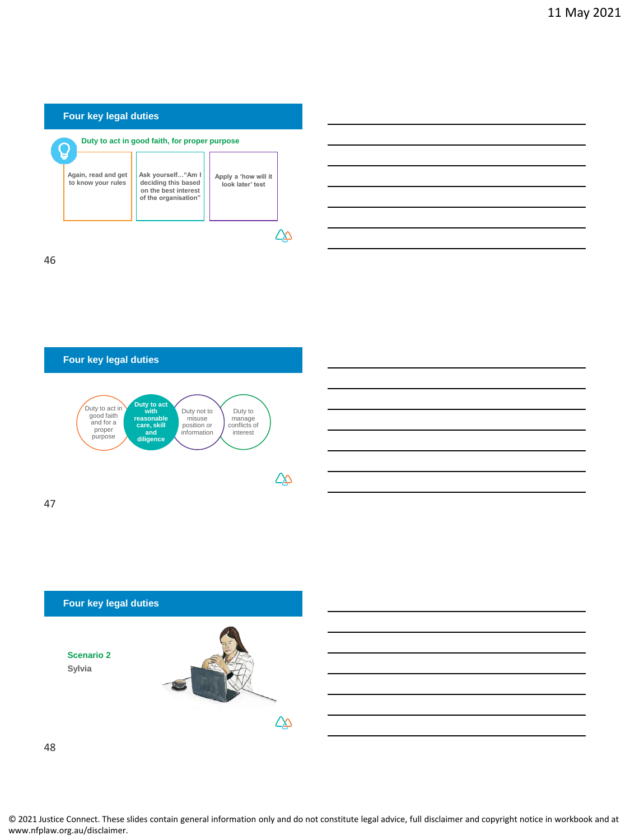







48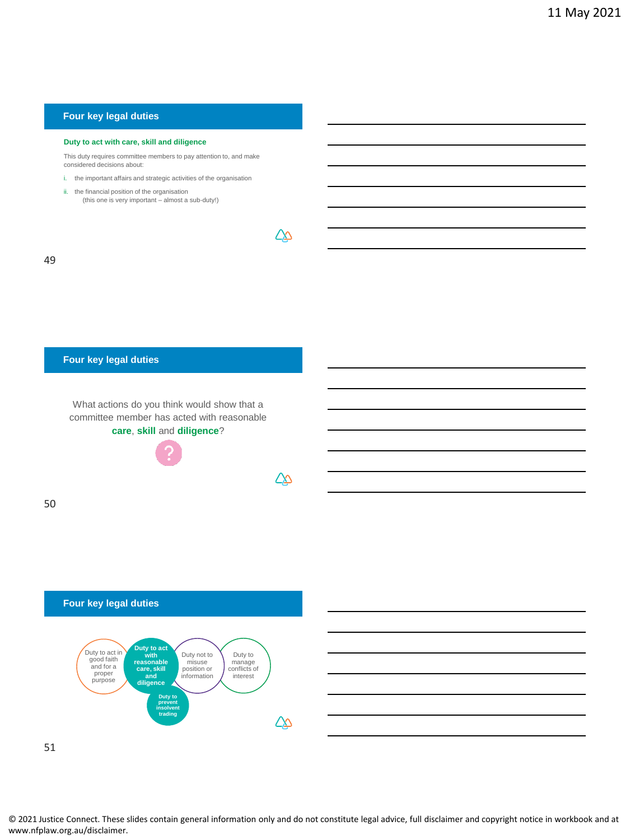#### **Duty to act with care, skill and diligence**

This duty requires committee members to pay attention to, and make considered decisions about:

- i. the important affairs and strategic activities of the organisation
- ii. the financial position of the organisation (this one is very important almost a sub-duty!)

| ٧ | ٧                      |
|---|------------------------|
|   | ×<br>I<br>I<br>×<br>۰. |

### **Four key legal duties**

What actions do you think would show that a committee member has acted with reasonable **care**, **skill** and **diligence**?



∠∆

△

50





51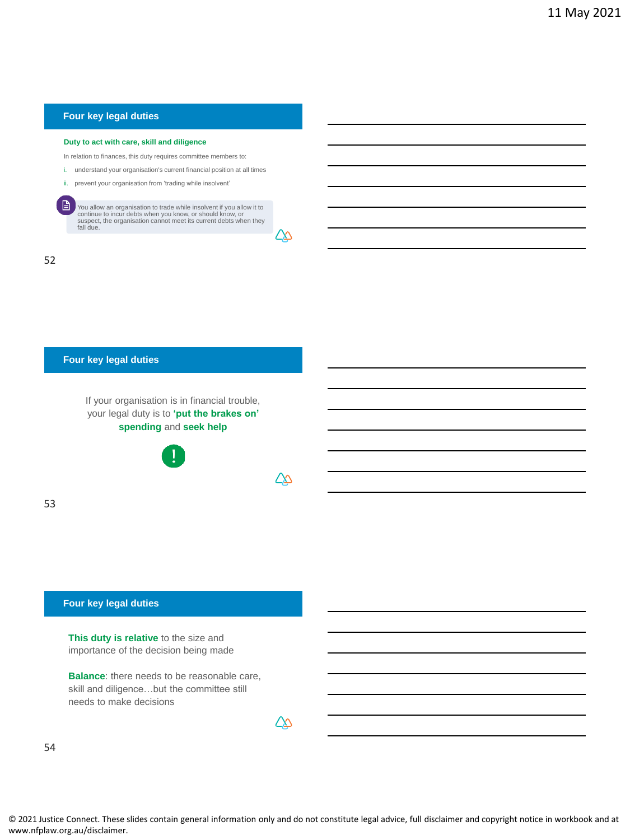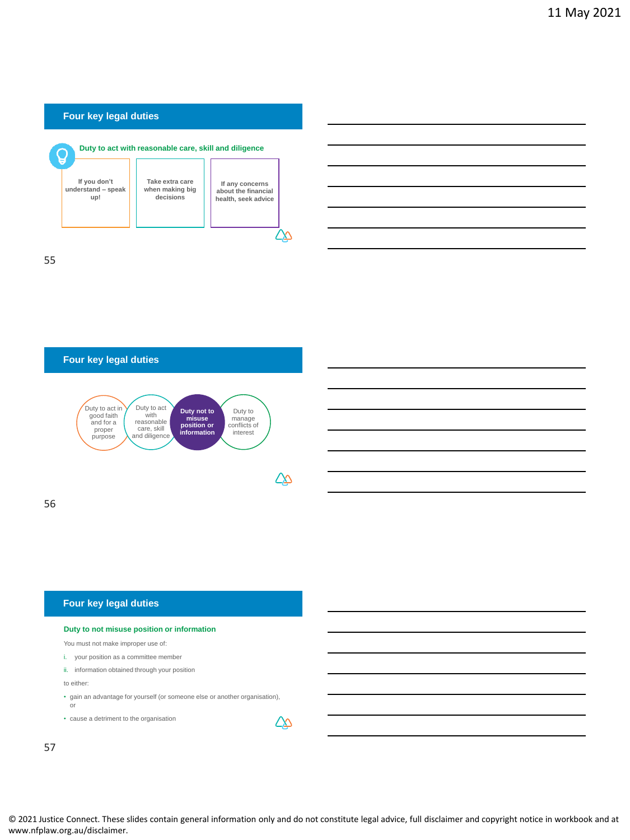



56

## **Four key legal duties**

| Duty to not misuse position or information                                        |  |
|-----------------------------------------------------------------------------------|--|
| You must not make improper use of:                                                |  |
| your position as a committee member                                               |  |
| ii. information obtained through your position                                    |  |
| to either:                                                                        |  |
| • gain an advantage for yourself (or someone else or another organisation),<br>or |  |
| • cause a detriment to the organisation                                           |  |
|                                                                                   |  |

57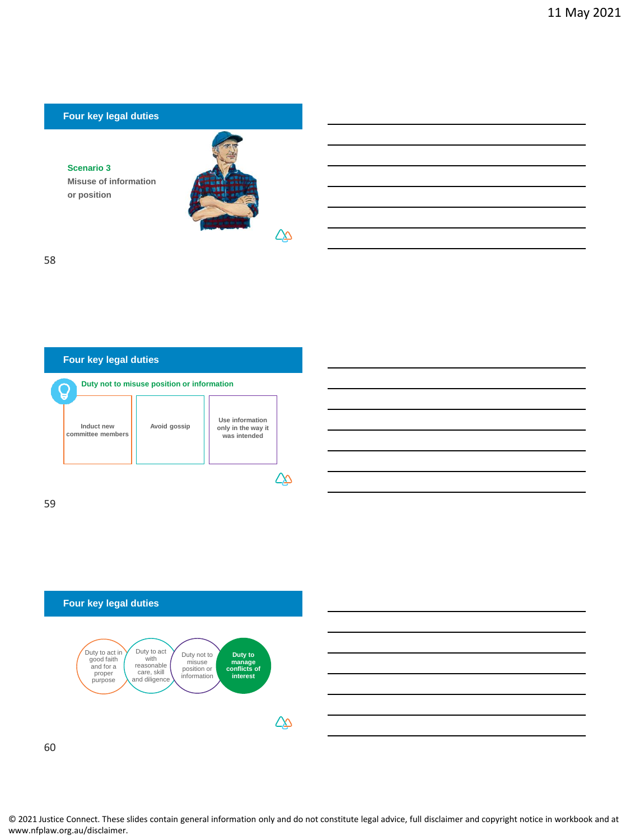#### **Scenario 3**

**Misuse of information or position** 



58





60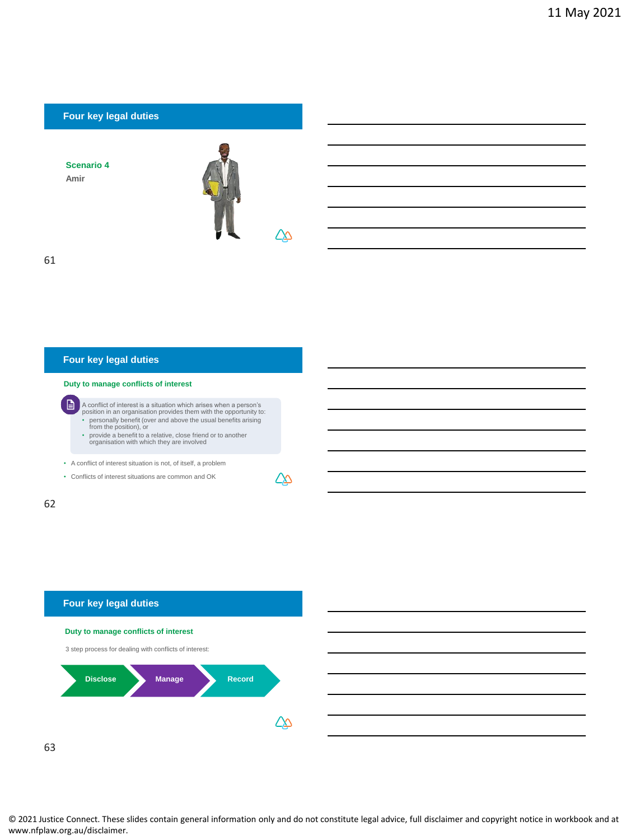# **Four key legal duties Scenario 4 Amir**  $\overline{\Delta}$ 61

## **Four key legal duties**

**Duty to manage conflicts of interest**

A conflict of interest is a situation which arises when a person's position in an organisation provides them with the opportunity to: • personally benefit (over and above the usual benefits arising from the position), or

• provide a benefit to a relative, close friend or to another organisation with which they are involved

• A conflict of interest situation is not, of itself, a problem

• Conflicts of interest situations are common and OK

62

D



△

63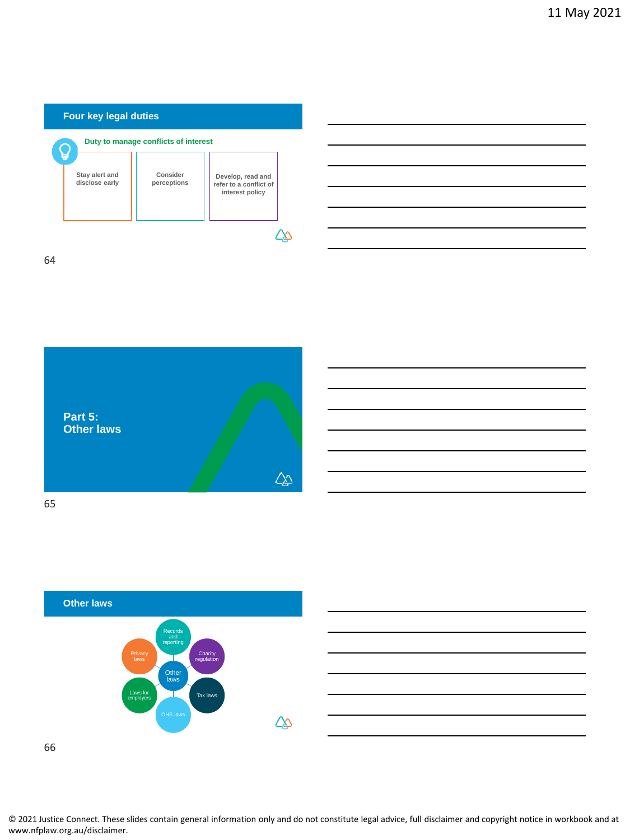





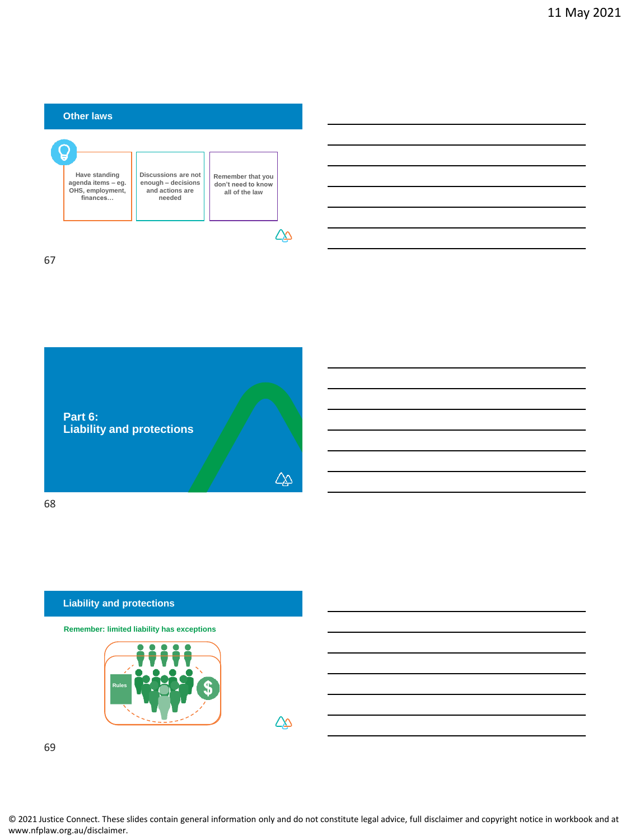



#### **Liability and protections**

**Remember: limited liability has exceptions**



 $\Delta\!\!\!\!\Delta$ 

69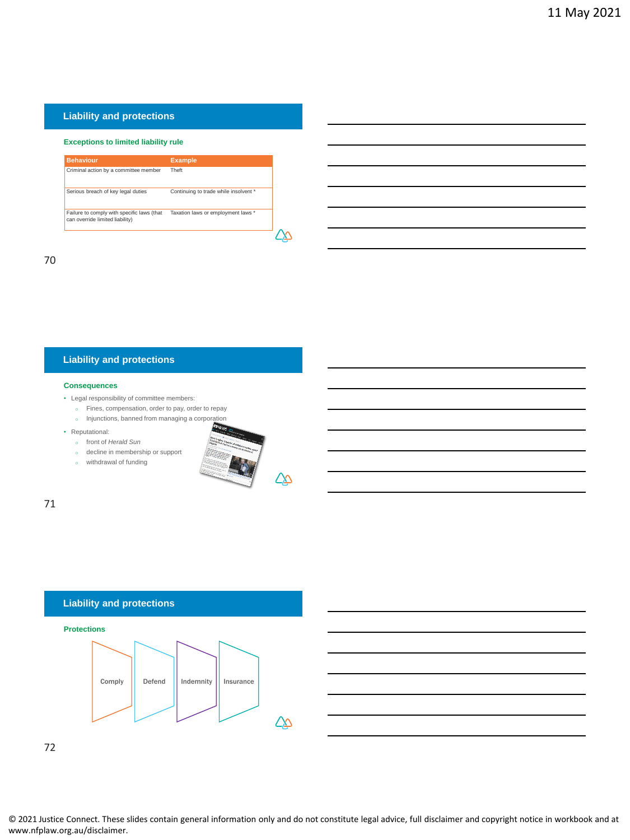## **Liability and protections**

#### **Exceptions to limited liability rule**

| <b>Behaviour</b>                                                              | <b>Example</b>                        |
|-------------------------------------------------------------------------------|---------------------------------------|
| Criminal action by a committee member                                         | Theft                                 |
| Serious breach of key legal duties                                            | Continuing to trade while insolvent * |
| Failure to comply with specific laws (that<br>can override limited liability) | Taxation laws or employment laws *    |
|                                                                               |                                       |

70

## **Liability and protections**

#### **Consequences**

- Legal responsibility of committee members:
	- o Fines, compensation, order to pay, order to repay o Injunctions, banned from managing a corporation
	-
- Reputational:
	- o front of *Herald Sun*
	- o decline in membership or support
	- o withdrawal of funding



71

#### **Liability and protections**





72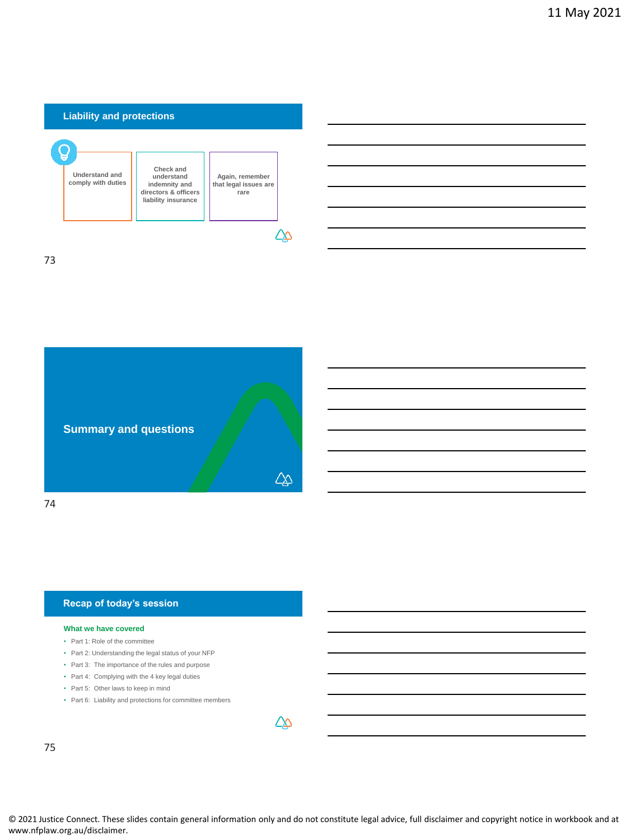

73



#### **Recap of today's session**

#### **What we have covered**

- Part 1: Role of the committee
- Part 2: Understanding the legal status of your NFP
- Part 3: The importance of the rules and purpose
- Part 4: Complying with the 4 key legal duties
- Part 5: Other laws to keep in mind
- Part 6: Liability and protections for committee members

75

© 2021 Justice Connect. These slides contain general information only and do not constitute legal advice, full disclaimer and copyright notice in workbook and at www.nfplaw.org.au/disclaimer.

∠∆